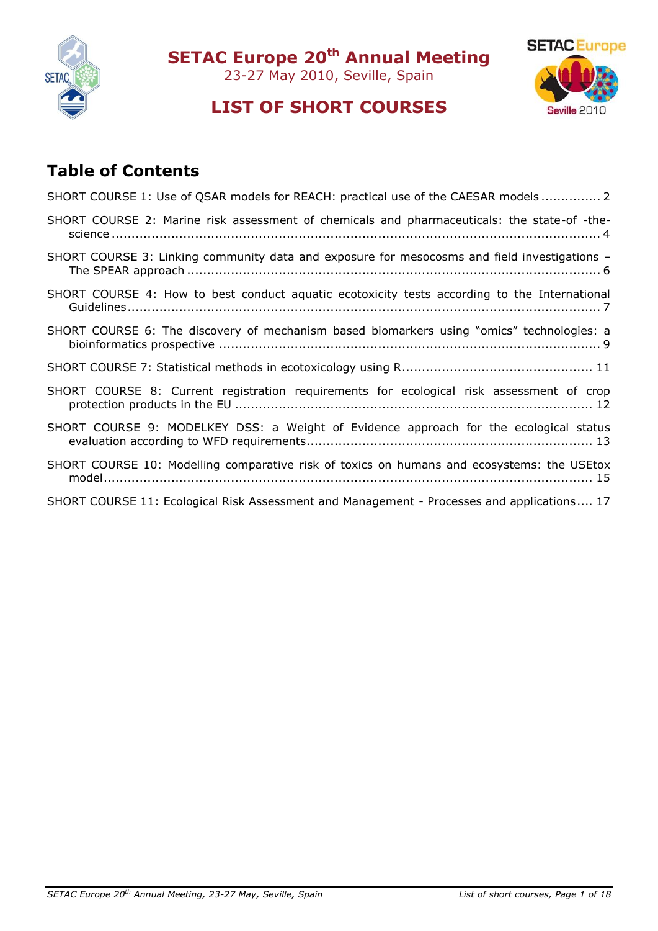

**SETAC Europe 20th Annual Meeting**

23-27 May 2010, Seville, Spain



# **LIST OF SHORT COURSES**

# **Table of Contents**

| SHORT COURSE 1: Use of QSAR models for REACH: practical use of the CAESAR models 2           |
|----------------------------------------------------------------------------------------------|
| SHORT COURSE 2: Marine risk assessment of chemicals and pharmaceuticals: the state-of -the-  |
| SHORT COURSE 3: Linking community data and exposure for mesocosms and field investigations - |
| SHORT COURSE 4: How to best conduct aquatic ecotoxicity tests according to the International |
| SHORT COURSE 6: The discovery of mechanism based biomarkers using "omics" technologies: a    |
|                                                                                              |
| SHORT COURSE 8: Current registration requirements for ecological risk assessment of crop     |
| SHORT COURSE 9: MODELKEY DSS: a Weight of Evidence approach for the ecological status        |
| SHORT COURSE 10: Modelling comparative risk of toxics on humans and ecosystems: the USEtox   |
| SHORT COURSE 11: Ecological Risk Assessment and Management - Processes and applications 17   |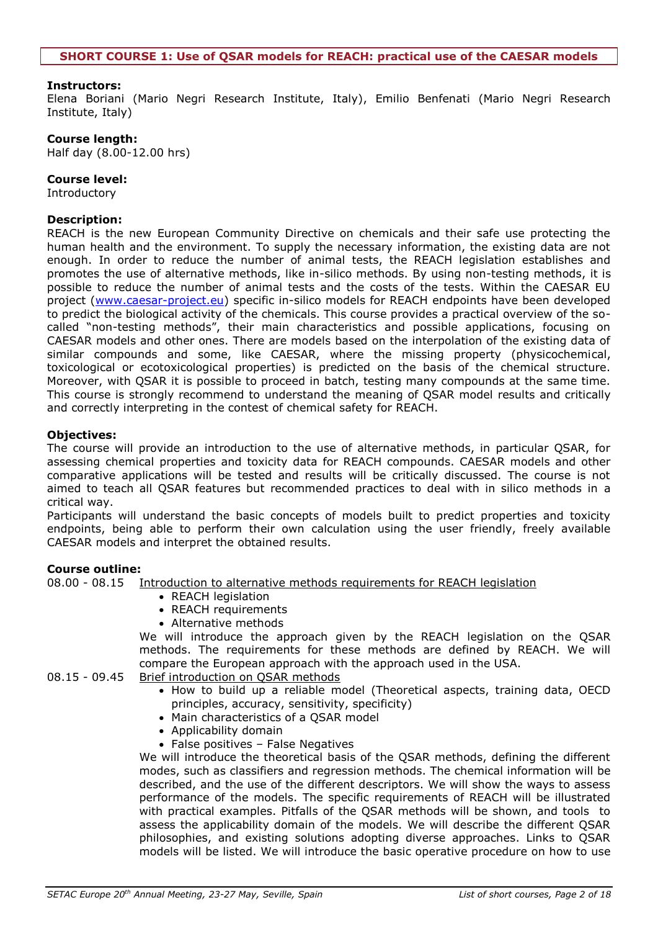<span id="page-1-0"></span>Elena Boriani (Mario Negri Research Institute, Italy), Emilio Benfenati (Mario Negri Research Institute, Italy)

#### **Course length:**

Half day (8.00-12.00 hrs)

#### **Course level:**

Introductory

#### **Description:**

REACH is the new European Community Directive on chemicals and their safe use protecting the human health and the environment. To supply the necessary information, the existing data are not enough. In order to reduce the number of animal tests, the REACH legislation establishes and promotes the use of alternative methods, like in-silico methods. By using non-testing methods, it is possible to reduce the number of animal tests and the costs of the tests. Within the CAESAR EU project [\(www.caesar-project.eu\)](http://www.caesar-project.eu/) specific in-silico models for REACH endpoints have been developed to predict the biological activity of the chemicals. This course provides a practical overview of the socalled "non-testing methods", their main characteristics and possible applications, focusing on CAESAR models and other ones. There are models based on the interpolation of the existing data of similar compounds and some, like CAESAR, where the missing property (physicochemical, toxicological or ecotoxicological properties) is predicted on the basis of the chemical structure. Moreover, with QSAR it is possible to proceed in batch, testing many compounds at the same time. This course is strongly recommend to understand the meaning of QSAR model results and critically and correctly interpreting in the contest of chemical safety for REACH.

# **Objectives:**

The course will provide an introduction to the use of alternative methods, in particular QSAR, for assessing chemical properties and toxicity data for REACH compounds. CAESAR models and other comparative applications will be tested and results will be critically discussed. The course is not aimed to teach all QSAR features but recommended practices to deal with in silico methods in a critical way.

Participants will understand the basic concepts of models built to predict properties and toxicity endpoints, being able to perform their own calculation using the user friendly, freely available CAESAR models and interpret the obtained results.

# **Course outline:**

08.00 - 08.15 Introduction to alternative methods requirements for REACH legislation

- REACH legislation
- REACH requirements
- Alternative methods

We will introduce the approach given by the REACH legislation on the QSAR methods. The requirements for these methods are defined by REACH. We will compare the European approach with the approach used in the USA.

# 08.15 - 09.45 Brief introduction on QSAR methods

- How to build up a reliable model (Theoretical aspects, training data, OECD principles, accuracy, sensitivity, specificity)
- Main characteristics of a QSAR model
- Applicability domain
- False positives False Negatives

We will introduce the theoretical basis of the QSAR methods, defining the different modes, such as classifiers and regression methods. The chemical information will be described, and the use of the different descriptors. We will show the ways to assess performance of the models. The specific requirements of REACH will be illustrated with practical examples. Pitfalls of the QSAR methods will be shown, and tools to assess the applicability domain of the models. We will describe the different QSAR philosophies, and existing solutions adopting diverse approaches. Links to QSAR models will be listed. We will introduce the basic operative procedure on how to use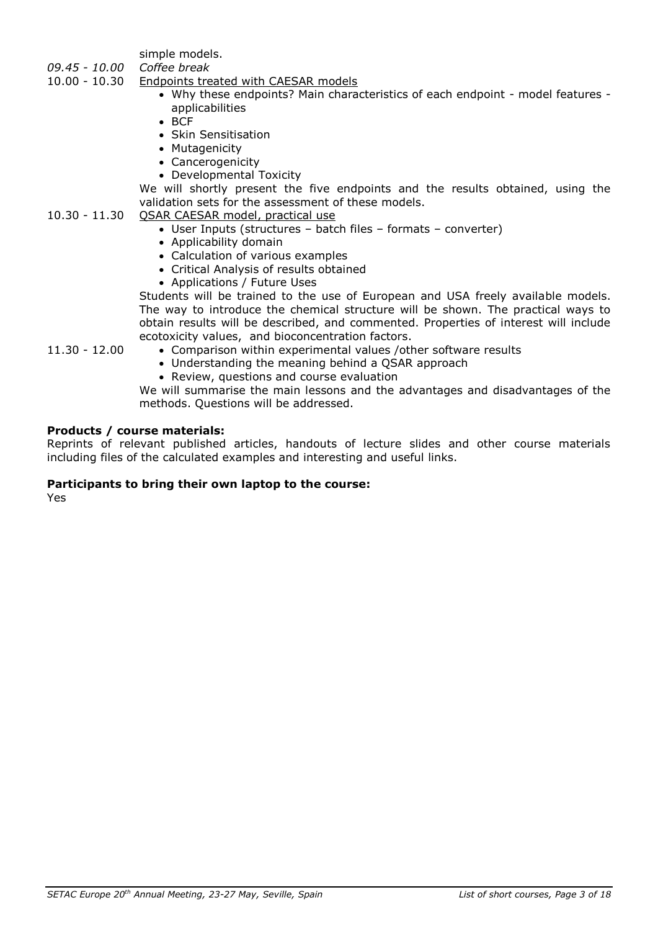simple models.

- *09.45 - 10.00 Coffee break*
- 10.00 10.30 Endpoints treated with CAESAR models
	- Why these endpoints? Main characteristics of each endpoint model features applicabilities
	- $BCF$
	- **Skin Sensitisation**
	- Mutagenicity
	- Cancerogenicity
	- Developmental Toxicity

We will shortly present the five endpoints and the results obtained, using the validation sets for the assessment of these models.

- 10.30 11.30 QSAR CAESAR model, practical use
	- User Inputs (structures batch files formats converter)
	- Applicability domain
	- Calculation of various examples
	- Critical Analysis of results obtained
	- Applications / Future Uses

Students will be trained to the use of European and USA freely available models. The way to introduce the chemical structure will be shown. The practical ways to obtain results will be described, and commented. Properties of interest will include ecotoxicity values, and bioconcentration factors.

- 11.30 12.00 Comparison within experimental values /other software results
	- Understanding the meaning behind a QSAR approach
		- Review, questions and course evaluation

We will summarise the main lessons and the advantages and disadvantages of the methods. Questions will be addressed.

# **Products / course materials:**

Reprints of relevant published articles, handouts of lecture slides and other course materials including files of the calculated examples and interesting and useful links.

# **Participants to bring their own laptop to the course:**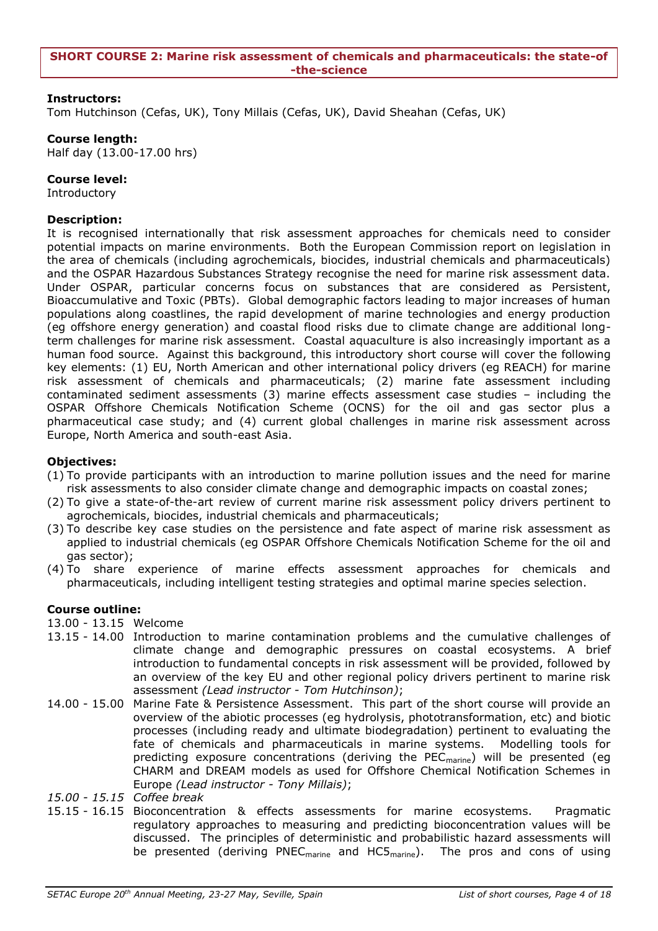<span id="page-3-0"></span>Tom Hutchinson (Cefas, UK), Tony Millais (Cefas, UK), David Sheahan (Cefas, UK)

# **Course length:**

Half day (13.00-17.00 hrs)

# **Course level:**

Introductory

# **Description:**

It is recognised internationally that risk assessment approaches for chemicals need to consider potential impacts on marine environments. Both the European Commission report on legislation in the area of chemicals (including agrochemicals, biocides, industrial chemicals and pharmaceuticals) and the OSPAR Hazardous Substances Strategy recognise the need for marine risk assessment data. Under OSPAR, particular concerns focus on substances that are considered as Persistent, Bioaccumulative and Toxic (PBTs). Global demographic factors leading to major increases of human populations along coastlines, the rapid development of marine technologies and energy production (eg offshore energy generation) and coastal flood risks due to climate change are additional longterm challenges for marine risk assessment. Coastal aquaculture is also increasingly important as a human food source. Against this background, this introductory short course will cover the following key elements: (1) EU, North American and other international policy drivers (eg REACH) for marine risk assessment of chemicals and pharmaceuticals; (2) marine fate assessment including contaminated sediment assessments (3) marine effects assessment case studies – including the OSPAR Offshore Chemicals Notification Scheme (OCNS) for the oil and gas sector plus a pharmaceutical case study; and (4) current global challenges in marine risk assessment across Europe, North America and south-east Asia.

# **Objectives:**

- (1) To provide participants with an introduction to marine pollution issues and the need for marine risk assessments to also consider climate change and demographic impacts on coastal zones;
- (2) To give a state-of-the-art review of current marine risk assessment policy drivers pertinent to agrochemicals, biocides, industrial chemicals and pharmaceuticals;
- (3) To describe key case studies on the persistence and fate aspect of marine risk assessment as applied to industrial chemicals (eg OSPAR Offshore Chemicals Notification Scheme for the oil and gas sector);
- (4) To share experience of marine effects assessment approaches for chemicals and pharmaceuticals, including intelligent testing strategies and optimal marine species selection.

# **Course outline:**

13.00 - 13.15 Welcome

- 13.15 14.00 Introduction to marine contamination problems and the cumulative challenges of climate change and demographic pressures on coastal ecosystems. A brief introduction to fundamental concepts in risk assessment will be provided, followed by an overview of the key EU and other regional policy drivers pertinent to marine risk assessment *(Lead instructor - Tom Hutchinson)*;
- 14.00 15.00 Marine Fate & Persistence Assessment. This part of the short course will provide an overview of the abiotic processes (eg hydrolysis, phototransformation, etc) and biotic processes (including ready and ultimate biodegradation) pertinent to evaluating the fate of chemicals and pharmaceuticals in marine systems. Modelling tools for predicting exposure concentrations (deriving the PEC<sub>marine</sub>) will be presented (eg CHARM and DREAM models as used for Offshore Chemical Notification Schemes in Europe *(Lead instructor - Tony Millais)*;
- *15.00 - 15.15 Coffee break*
- 15.15 16.15 Bioconcentration & effects assessments for marine ecosystems. Pragmatic regulatory approaches to measuring and predicting bioconcentration values will be discussed. The principles of deterministic and probabilistic hazard assessments will be presented (deriving PNEC<sub>marine</sub> and HC5<sub>marine</sub>). The pros and cons of using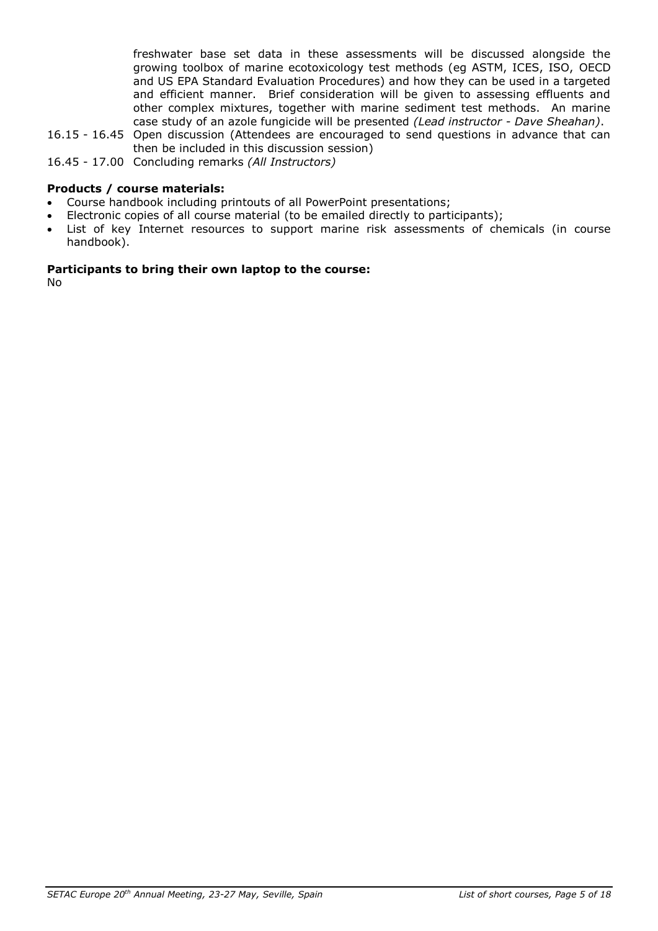freshwater base set data in these assessments will be discussed alongside the growing toolbox of marine ecotoxicology test methods (eg ASTM, ICES, ISO, OECD and US EPA Standard Evaluation Procedures) and how they can be used in a targeted and efficient manner. Brief consideration will be given to assessing effluents and other complex mixtures, together with marine sediment test methods. An marine case study of an azole fungicide will be presented *(Lead instructor - Dave Sheahan)*.

- 16.15 16.45 Open discussion (Attendees are encouraged to send questions in advance that can then be included in this discussion session)
- 16.45 17.00 Concluding remarks *(All Instructors)*

# **Products / course materials:**

- Course handbook including printouts of all PowerPoint presentations;
- Electronic copies of all course material (to be emailed directly to participants);
- List of key Internet resources to support marine risk assessments of chemicals (in course handbook).

# **Participants to bring their own laptop to the course:**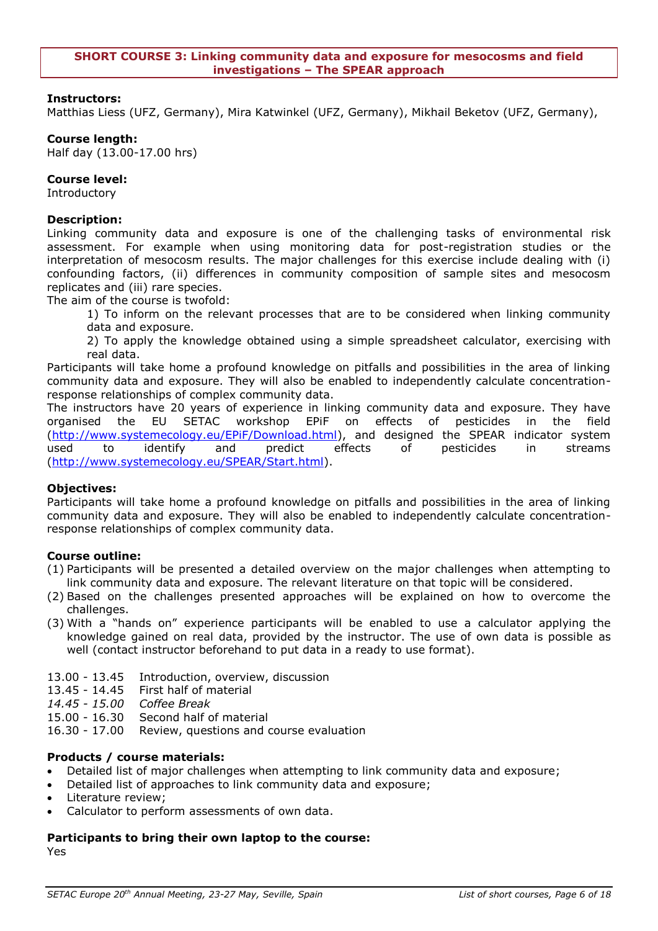<span id="page-5-0"></span>Matthias Liess (UFZ, Germany), Mira Katwinkel (UFZ, Germany), Mikhail Beketov (UFZ, Germany),

# **Course length:**

Half day (13.00-17.00 hrs)

# **Course level:**

Introductory

# **Description:**

Linking community data and exposure is one of the challenging tasks of environmental risk assessment. For example when using monitoring data for post-registration studies or the interpretation of mesocosm results. The major challenges for this exercise include dealing with (i) confounding factors, (ii) differences in community composition of sample sites and mesocosm replicates and (iii) rare species.

The aim of the course is twofold:

1) To inform on the relevant processes that are to be considered when linking community data and exposure.

2) To apply the knowledge obtained using a simple spreadsheet calculator, exercising with real data.

Participants will take home a profound knowledge on pitfalls and possibilities in the area of linking community data and exposure. They will also be enabled to independently calculate concentrationresponse relationships of complex community data.

The instructors have 20 years of experience in linking community data and exposure. They have organised the EU SETAC workshop EPiF on effects of pesticides in the field [\(http://www.systemecology.eu/EPiF/Download.html\)](http://www.systemecology.eu/EPiF/Download.html), and designed the SPEAR indicator system used to identify and predict effects of pesticides in streams [\(http://www.systemecology.eu/SPEAR/Start.html\)](http://www.systemecology.eu/SPEAR/Start.html).

# **Objectives:**

Participants will take home a profound knowledge on pitfalls and possibilities in the area of linking community data and exposure. They will also be enabled to independently calculate concentrationresponse relationships of complex community data.

# **Course outline:**

- (1) Participants will be presented a detailed overview on the major challenges when attempting to link community data and exposure. The relevant literature on that topic will be considered.
- (2) Based on the challenges presented approaches will be explained on how to overcome the challenges.
- (3) With a "hands on" experience participants will be enabled to use a calculator applying the knowledge gained on real data, provided by the instructor. The use of own data is possible as well (contact instructor beforehand to put data in a ready to use format).
- 13.00 13.45 Introduction, overview, discussion
- 13.45 14.45 First half of material
- *14.45 - 15.00 Coffee Break*
- 15.00 16.30 Second half of material
- 16.30 17.00 Review, questions and course evaluation

# **Products / course materials:**

Detailed list of major challenges when attempting to link community data and exposure;

- Detailed list of approaches to link community data and exposure;
- Literature review;
- Calculator to perform assessments of own data.

#### **Participants to bring their own laptop to the course:** Yes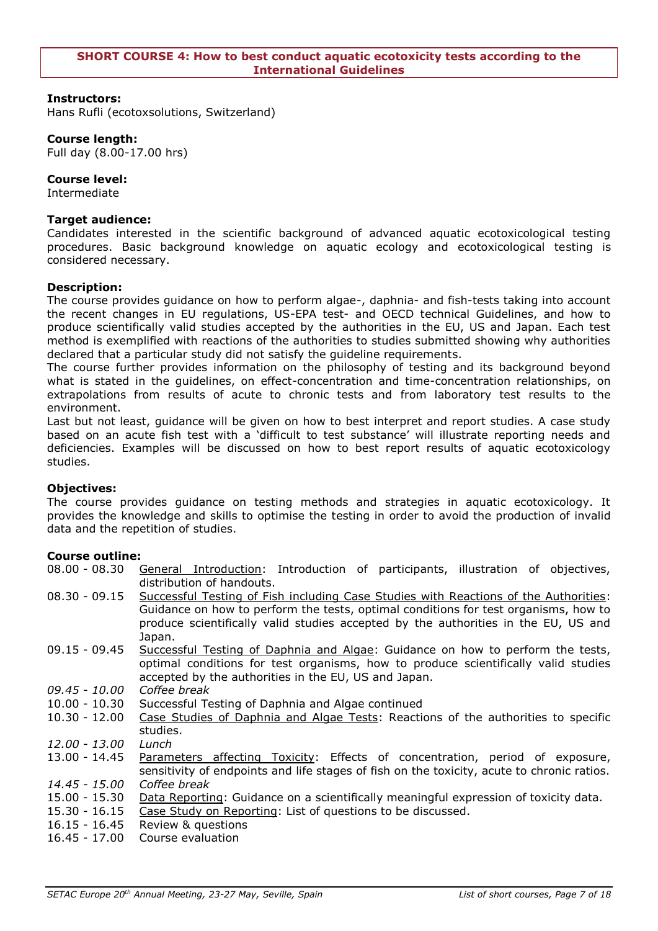<span id="page-6-0"></span>Hans Rufli (ecotoxsolutions, Switzerland)

#### **Course length:**

Full day (8.00-17.00 hrs)

# **Course level:**

Intermediate

# **Target audience:**

Candidates interested in the scientific background of advanced aquatic ecotoxicological testing procedures. Basic background knowledge on aquatic ecology and ecotoxicological testing is considered necessary.

# **Description:**

The course provides guidance on how to perform algae-, daphnia- and fish-tests taking into account the recent changes in EU regulations, US-EPA test- and OECD technical Guidelines, and how to produce scientifically valid studies accepted by the authorities in the EU, US and Japan. Each test method is exemplified with reactions of the authorities to studies submitted showing why authorities declared that a particular study did not satisfy the guideline requirements.

The course further provides information on the philosophy of testing and its background beyond what is stated in the guidelines, on effect-concentration and time-concentration relationships, on extrapolations from results of acute to chronic tests and from laboratory test results to the environment.

Last but not least, guidance will be given on how to best interpret and report studies. A case study based on an acute fish test with a 'difficult to test substance' will illustrate reporting needs and deficiencies. Examples will be discussed on how to best report results of aquatic ecotoxicology studies.

# **Objectives:**

The course provides guidance on testing methods and strategies in aquatic ecotoxicology. It provides the knowledge and skills to optimise the testing in order to avoid the production of invalid data and the repetition of studies.

# **Course outline:**

08.00 - 08.30 General Introduction: Introduction of participants, illustration of objectives, distribution of handouts.

- 08.30 09.15 Successful Testing of Fish including Case Studies with Reactions of the Authorities: Guidance on how to perform the tests, optimal conditions for test organisms, how to produce scientifically valid studies accepted by the authorities in the EU, US and Japan.
- 09.15 09.45 Successful Testing of Daphnia and Algae: Guidance on how to perform the tests, optimal conditions for test organisms, how to produce scientifically valid studies accepted by the authorities in the EU, US and Japan.
- *09.45 - 10.00 Coffee break*
- 10.00 10.30 Successful Testing of Daphnia and Algae continued
- 10.30 12.00 Case Studies of Daphnia and Algae Tests: Reactions of the authorities to specific studies.
- *12.00 - 13.00 Lunch*
- 13.00 14.45 Parameters affecting Toxicity: Effects of concentration, period of exposure, sensitivity of endpoints and life stages of fish on the toxicity, acute to chronic ratios. *14.45 - 15.00 Coffee break*
- 15.00 15.30 Data Reporting: Guidance on a scientifically meaningful expression of toxicity data.
- 15.30 16.15 Case Study on Reporting: List of questions to be discussed.
- 16.15 16.45 Review & questions
- 16.45 17.00 Course evaluation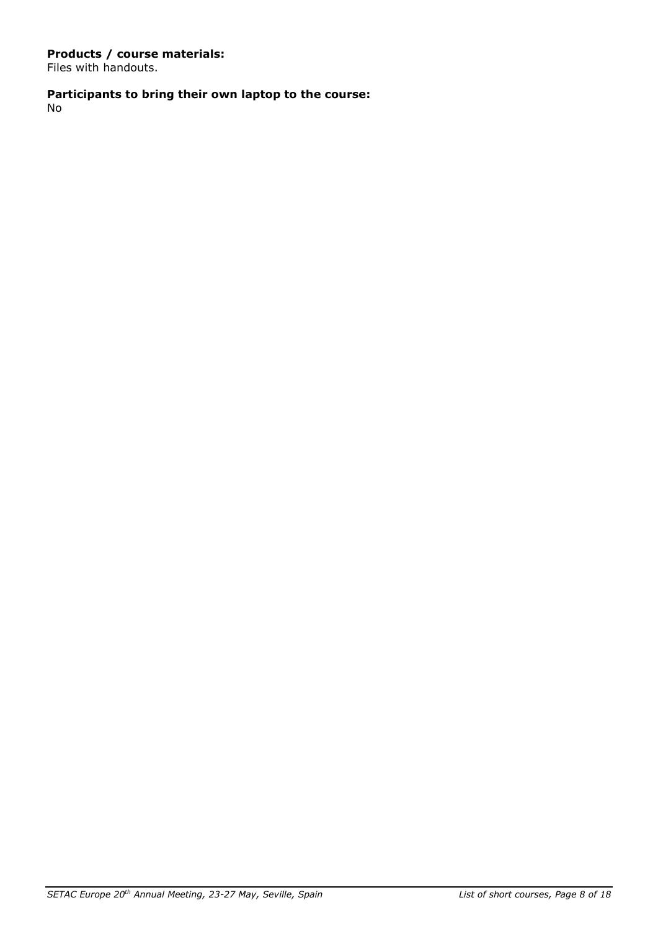# **Products / course materials:**

Files with handouts.

# **Participants to bring their own laptop to the course:**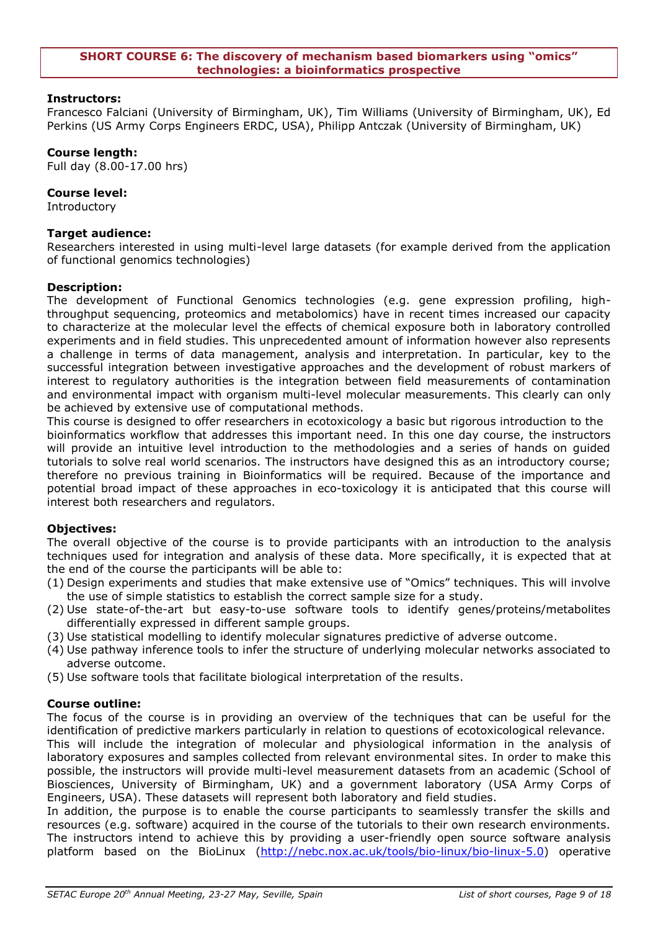#### <span id="page-8-0"></span>**SHORT COURSE 6: The discovery of mechanism based biomarkers using "omics" technologies: a bioinformatics prospective**

# **Instructors:**

Francesco Falciani (University of Birmingham, UK), Tim Williams (University of Birmingham, UK), Ed Perkins (US Army Corps Engineers ERDC, USA), Philipp Antczak (University of Birmingham, UK)

# **Course length:**

Full day (8.00-17.00 hrs)

# **Course level:**

Introductory

# **Target audience:**

Researchers interested in using multi-level large datasets (for example derived from the application of functional genomics technologies)

# **Description:**

The development of Functional Genomics technologies (e.g. gene expression profiling, highthroughput sequencing, proteomics and metabolomics) have in recent times increased our capacity to characterize at the molecular level the effects of chemical exposure both in laboratory controlled experiments and in field studies. This unprecedented amount of information however also represents a challenge in terms of data management, analysis and interpretation. In particular, key to the successful integration between investigative approaches and the development of robust markers of interest to regulatory authorities is the integration between field measurements of contamination and environmental impact with organism multi-level molecular measurements. This clearly can only be achieved by extensive use of computational methods.

This course is designed to offer researchers in ecotoxicology a basic but rigorous introduction to the bioinformatics workflow that addresses this important need. In this one day course, the instructors will provide an intuitive level introduction to the methodologies and a series of hands on guided tutorials to solve real world scenarios. The instructors have designed this as an introductory course; therefore no previous training in Bioinformatics will be required. Because of the importance and potential broad impact of these approaches in eco-toxicology it is anticipated that this course will interest both researchers and regulators.

# **Objectives:**

The overall objective of the course is to provide participants with an introduction to the analysis techniques used for integration and analysis of these data. More specifically, it is expected that at the end of the course the participants will be able to:

- (1) Design experiments and studies that make extensive use of "Omics" techniques. This will involve the use of simple statistics to establish the correct sample size for a study.
- (2) Use state-of-the-art but easy-to-use software tools to identify genes/proteins/metabolites differentially expressed in different sample groups.
- (3) Use statistical modelling to identify molecular signatures predictive of adverse outcome.
- (4) Use pathway inference tools to infer the structure of underlying molecular networks associated to adverse outcome.
- (5) Use software tools that facilitate biological interpretation of the results.

# **Course outline:**

The focus of the course is in providing an overview of the techniques that can be useful for the identification of predictive markers particularly in relation to questions of ecotoxicological relevance. This will include the integration of molecular and physiological information in the analysis of laboratory exposures and samples collected from relevant environmental sites. In order to make this possible, the instructors will provide multi-level measurement datasets from an academic (School of Biosciences, University of Birmingham, UK) and a government laboratory (USA Army Corps of Engineers, USA). These datasets will represent both laboratory and field studies.

In addition, the purpose is to enable the course participants to seamlessly transfer the skills and resources (e.g. software) acquired in the course of the tutorials to their own research environments. The instructors intend to achieve this by providing a user-friendly open source software analysis platform based on the BioLinux [\(http://nebc.nox.ac.uk/tools/bio-linux/bio-linux-5.0\)](http://nebc.nox.ac.uk/tools/bio-linux/bio-linux-5.0) operative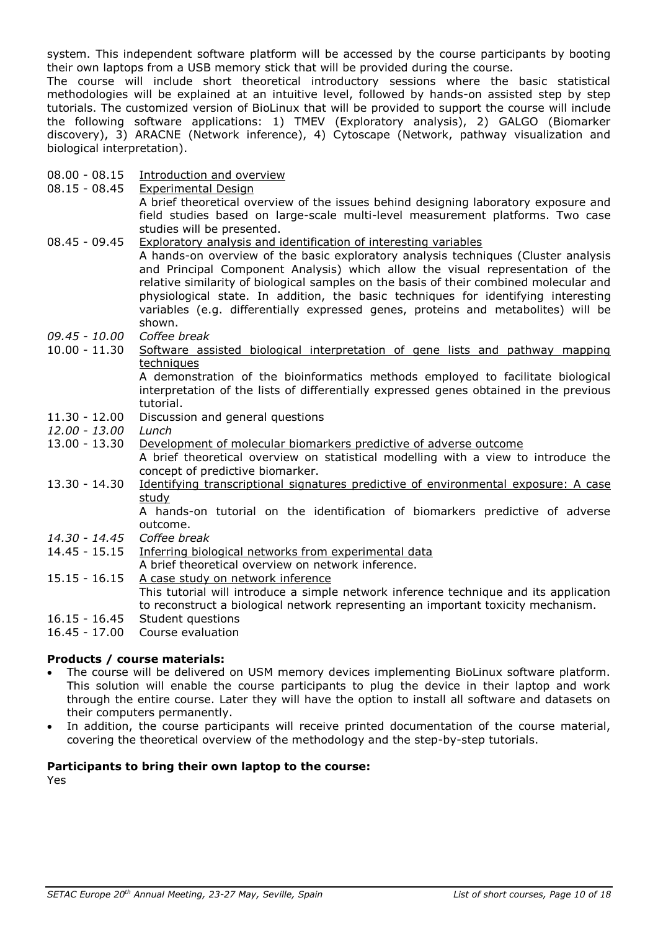system. This independent software platform will be accessed by the course participants by booting their own laptops from a USB memory stick that will be provided during the course.

The course will include short theoretical introductory sessions where the basic statistical methodologies will be explained at an intuitive level, followed by hands-on assisted step by step tutorials. The customized version of BioLinux that will be provided to support the course will include the following software applications: 1) TMEV (Exploratory analysis), 2) GALGO (Biomarker discovery), 3) ARACNE (Network inference), 4) Cytoscape (Network, pathway visualization and biological interpretation).

08.00 - 08.15 Introduction and overview

| $08.15 - 08.45$ | <b>Experimental Design</b>                                                                             |
|-----------------|--------------------------------------------------------------------------------------------------------|
|                 | A brief theoretical overview of the issues behind designing laboratory exposure and                    |
|                 | field studies based on large-scale multi-level measurement platforms. Two case                         |
|                 | studies will be presented.                                                                             |
| $08.45 - 09.45$ | <b>Exploratory analysis and identification of interesting variables</b>                                |
|                 | A hands-on overview of the basic exploratory analysis techniques (Cluster analysis                     |
|                 | and Principal Component Analysis) which allow the visual representation of the                         |
|                 | relative similarity of biological samples on the basis of their combined molecular and                 |
|                 | physiological state. In addition, the basic techniques for identifying interesting                     |
|                 | variables (e.g. differentially expressed genes, proteins and metabolites) will be                      |
|                 | shown.                                                                                                 |
| $09.45 - 10.00$ | Coffee break                                                                                           |
| $10.00 - 11.30$ | Software assisted biological interpretation of gene lists and pathway mapping                          |
|                 | techniques                                                                                             |
|                 | A demonstration of the bioinformatics methods employed to facilitate biological                        |
|                 | interpretation of the lists of differentially expressed genes obtained in the previous                 |
|                 | tutorial.                                                                                              |
| $11.30 - 12.00$ | Discussion and general questions                                                                       |
| $12.00 - 13.00$ |                                                                                                        |
|                 | Lunch                                                                                                  |
| $13.00 - 13.30$ | Development of molecular biomarkers predictive of adverse outcome                                      |
|                 | A brief theoretical overview on statistical modelling with a view to introduce the                     |
|                 | concept of predictive biomarker.                                                                       |
| $13.30 - 14.30$ | Identifying transcriptional signatures predictive of environmental exposure: A case                    |
|                 | study                                                                                                  |
|                 | A hands-on tutorial on the identification of biomarkers predictive of adverse                          |
|                 | outcome.                                                                                               |
| 14.30 - 14.45   | Coffee break                                                                                           |
| $14.45 - 15.15$ | Inferring biological networks from experimental data                                                   |
|                 | A brief theoretical overview on network inference.                                                     |
| $15.15 - 16.15$ | A case study on network inference                                                                      |
|                 | This tutorial will introduce a simple network inference technique and its application                  |
| $16.15 - 16.45$ | to reconstruct a biological network representing an important toxicity mechanism.<br>Student questions |
| $16.45 - 17.00$ | Course evaluation                                                                                      |

# **Products / course materials:**

- The course will be delivered on USM memory devices implementing BioLinux software platform. This solution will enable the course participants to plug the device in their laptop and work through the entire course. Later they will have the option to install all software and datasets on their computers permanently.
- In addition, the course participants will receive printed documentation of the course material, covering the theoretical overview of the methodology and the step-by-step tutorials.

# **Participants to bring their own laptop to the course:**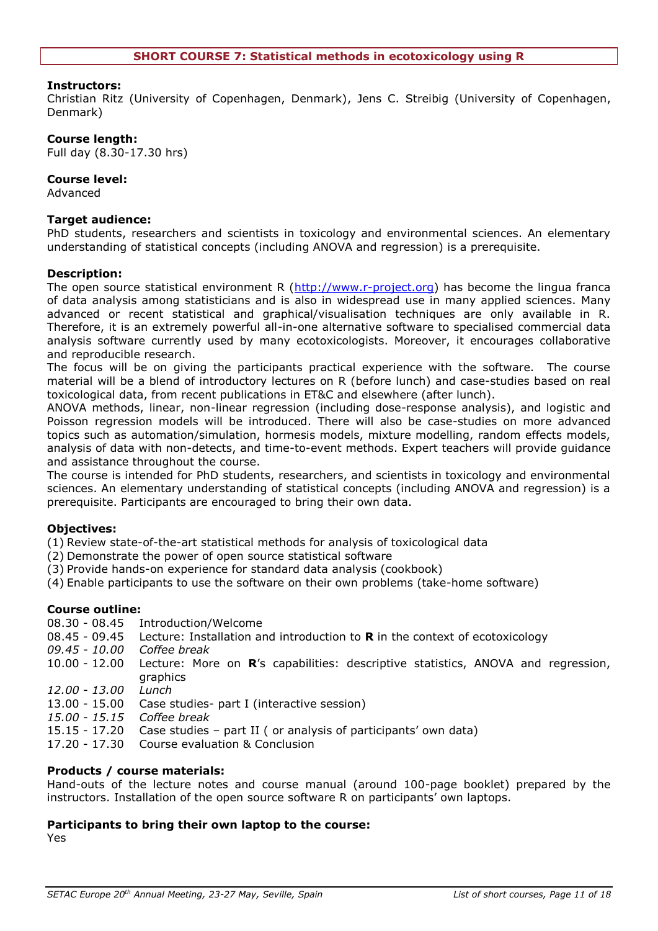<span id="page-10-0"></span>Christian Ritz (University of Copenhagen, Denmark), Jens C. Streibig (University of Copenhagen, Denmark)

# **Course length:**

Full day (8.30-17.30 hrs)

# **Course level:**

Advanced

# **Target audience:**

PhD students, researchers and scientists in toxicology and environmental sciences. An elementary understanding of statistical concepts (including ANOVA and regression) is a prerequisite.

# **Description:**

The open source statistical environment R [\(http://www.r-project.org\)](http://www.r-project.org/) has become the lingua franca of data analysis among statisticians and is also in widespread use in many applied sciences. Many advanced or recent statistical and graphical/visualisation techniques are only available in R. Therefore, it is an extremely powerful all-in-one alternative software to specialised commercial data analysis software currently used by many ecotoxicologists. Moreover, it encourages collaborative and reproducible research.

The focus will be on giving the participants practical experience with the software. The course material will be a blend of introductory lectures on R (before lunch) and case-studies based on real toxicological data, from recent publications in ET&C and elsewhere (after lunch).

ANOVA methods, linear, non-linear regression (including dose-response analysis), and logistic and Poisson regression models will be introduced. There will also be case-studies on more advanced topics such as automation/simulation, hormesis models, mixture modelling, random effects models, analysis of data with non-detects, and time-to-event methods. Expert teachers will provide guidance and assistance throughout the course.

The course is intended for PhD students, researchers, and scientists in toxicology and environmental sciences. An elementary understanding of statistical concepts (including ANOVA and regression) is a prerequisite. Participants are encouraged to bring their own data.

# **Objectives:**

(1) Review state-of-the-art statistical methods for analysis of toxicological data

- (2) Demonstrate the power of open source statistical software
- (3) Provide hands-on experience for standard data analysis (cookbook)
- (4) Enable participants to use the software on their own problems (take-home software)

# **Course outline:**

- 08.30 08.45 Introduction/Welcome
- 08.45 09.45 Lecture: Installation and introduction to **R** in the context of ecotoxicology
- *09.45 - 10.00 Coffee break*
- 10.00 12.00 Lecture: More on **R**"s capabilities: descriptive statistics, ANOVA and regression, graphics
- *12.00 - 13.00 Lunch*
- 13.00 15.00 Case studies- part I (interactive session)
- *15.00 - 15.15 Coffee break*
- 15.15 17.20 Case studies part II ( or analysis of participants" own data)
- 17.20 17.30 Course evaluation & Conclusion

# **Products / course materials:**

Hand-outs of the lecture notes and course manual (around 100-page booklet) prepared by the instructors. Installation of the open source software R on participants' own laptops.

# **Participants to bring their own laptop to the course:**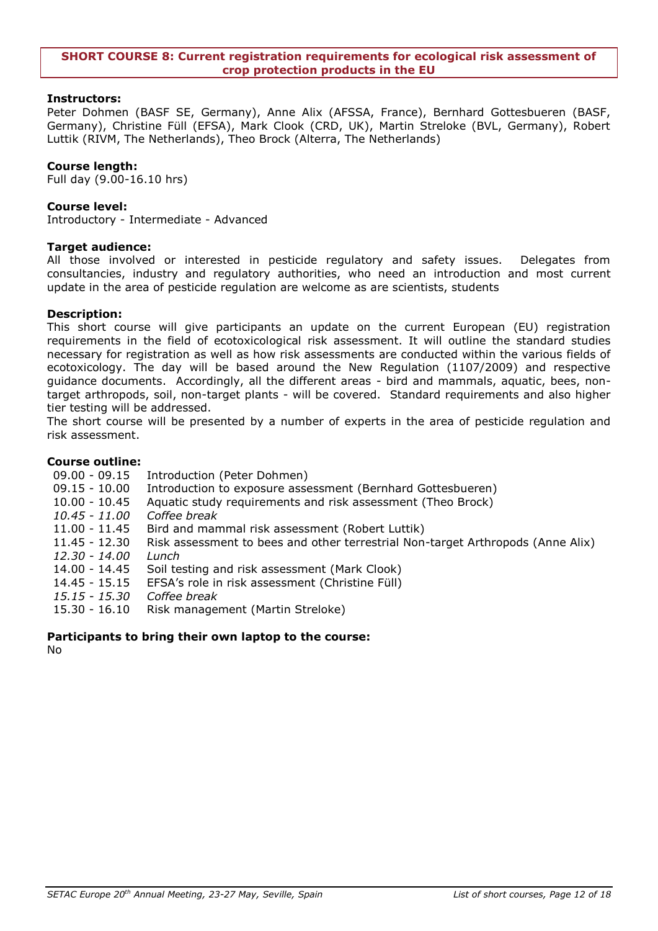#### <span id="page-11-0"></span>**SHORT COURSE 8: Current registration requirements for ecological risk assessment of crop protection products in the EU**

# **Instructors:**

Peter Dohmen (BASF SE, Germany), Anne Alix (AFSSA, France), Bernhard Gottesbueren (BASF, Germany), Christine Füll (EFSA), Mark Clook (CRD, UK), Martin Streloke (BVL, Germany), Robert Luttik (RIVM, The Netherlands), Theo Brock (Alterra, The Netherlands)

# **Course length:**

Full day (9.00-16.10 hrs)

# **Course level:**

Introductory - Intermediate - Advanced

# **Target audience:**

All those involved or interested in pesticide regulatory and safety issues. Delegates from consultancies, industry and regulatory authorities, who need an introduction and most current update in the area of pesticide regulation are welcome as are scientists, students

# **Description:**

This short course will give participants an update on the current European (EU) registration requirements in the field of ecotoxicological risk assessment. It will outline the standard studies necessary for registration as well as how risk assessments are conducted within the various fields of ecotoxicology. The day will be based around the New Regulation (1107/2009) and respective guidance documents. Accordingly, all the different areas - bird and mammals, aquatic, bees, nontarget arthropods, soil, non-target plants - will be covered. Standard requirements and also higher tier testing will be addressed.

The short course will be presented by a number of experts in the area of pesticide regulation and risk assessment.

# **Course outline:**

- 09.00 09.15 Introduction (Peter Dohmen)
- 09.15 10.00 Introduction to exposure assessment (Bernhard Gottesbueren)
- 10.00 10.45 Aquatic study requirements and risk assessment (Theo Brock)
- *10.45 - 11.00 Coffee break*
- 11.00 11.45 Bird and mammal risk assessment (Robert Luttik)
- 11.45 12.30 Risk assessment to bees and other terrestrial Non-target Arthropods (Anne Alix)
- *12.30 - 14.00 Lunch*
- 14.00 14.45 Soil testing and risk assessment (Mark Clook)
- 14.45 15.15 EFSA"s role in risk assessment (Christine Füll)
- *15.15 - 15.30 Coffee break*
- 15.30 16.10 Risk management (Martin Streloke)

# **Participants to bring their own laptop to the course:**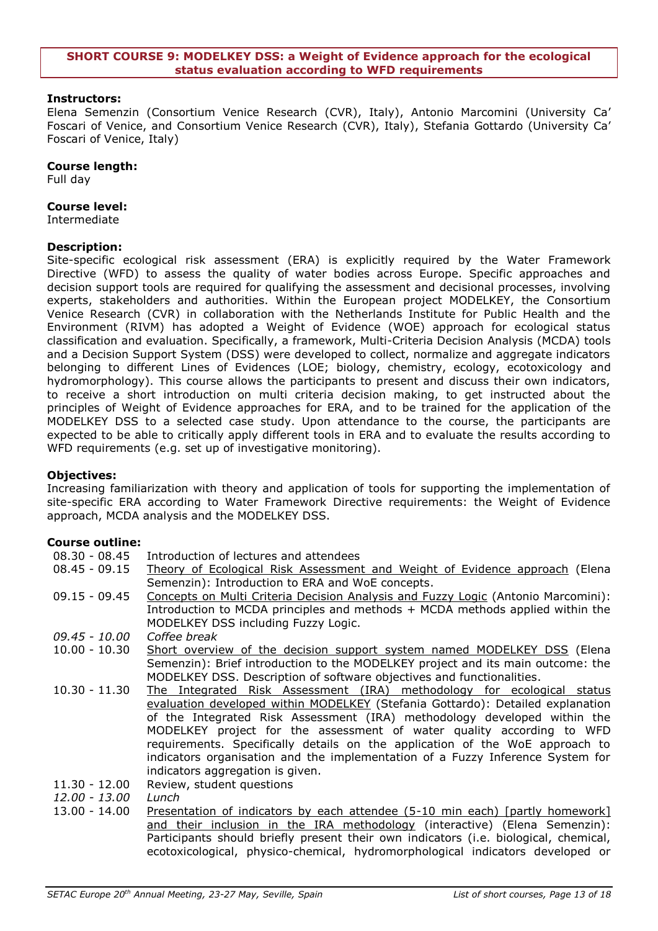#### <span id="page-12-0"></span>**SHORT COURSE 9: MODELKEY DSS: a Weight of Evidence approach for the ecological status evaluation according to WFD requirements**

# **Instructors:**

Elena Semenzin (Consortium Venice Research (CVR), Italy), Antonio Marcomini (University Ca" Foscari of Venice, and Consortium Venice Research (CVR), Italy), Stefania Gottardo (University Ca" Foscari of Venice, Italy)

#### **Course length:**

Full day

#### **Course level:**

Intermediate

#### **Description:**

Site-specific ecological risk assessment (ERA) is explicitly required by the Water Framework Directive (WFD) to assess the quality of water bodies across Europe. Specific approaches and decision support tools are required for qualifying the assessment and decisional processes, involving experts, stakeholders and authorities. Within the European project MODELKEY, the Consortium Venice Research (CVR) in collaboration with the Netherlands Institute for Public Health and the Environment (RIVM) has adopted a Weight of Evidence (WOE) approach for ecological status classification and evaluation. Specifically, a framework, Multi-Criteria Decision Analysis (MCDA) tools and a Decision Support System (DSS) were developed to collect, normalize and aggregate indicators belonging to different Lines of Evidences (LOE; biology, chemistry, ecology, ecotoxicology and hydromorphology). This course allows the participants to present and discuss their own indicators, to receive a short introduction on multi criteria decision making, to get instructed about the principles of Weight of Evidence approaches for ERA, and to be trained for the application of the MODELKEY DSS to a selected case study. Upon attendance to the course, the participants are expected to be able to critically apply different tools in ERA and to evaluate the results according to WFD requirements (e.g. set up of investigative monitoring).

# **Objectives:**

Increasing familiarization with theory and application of tools for supporting the implementation of site-specific ERA according to Water Framework Directive requirements: the Weight of Evidence approach, MCDA analysis and the MODELKEY DSS.

# **Course outline:**

| $08.30 - 08.45$ | Introduction of lectures and attendees                                            |
|-----------------|-----------------------------------------------------------------------------------|
| $08.45 - 09.15$ | Theory of Ecological Risk Assessment and Weight of Evidence approach (Elena       |
|                 | Semenzin): Introduction to ERA and WoE concepts.                                  |
| $09.15 - 09.45$ | Concepts on Multi Criteria Decision Analysis and Fuzzy Logic (Antonio Marcomini): |
|                 | Introduction to MCDA principles and methods + MCDA methods applied within the     |
|                 | MODELKEY DSS including Fuzzy Logic.                                               |
| 09.45 - 10.00   | Coffee break                                                                      |
| $10.00 - 10.30$ | Short overview of the decision support system named MODELKEY DSS (Elena           |
|                 | Semenzin): Brief introduction to the MODELKEY project and its main outcome: the   |
|                 | MODELKEY DSS. Description of software objectives and functionalities.             |
| $10.30 - 11.30$ | The Integrated Risk Assessment (IRA) methodology for ecological status            |
|                 | evaluation developed within MODELKEY (Stefania Gottardo): Detailed explanation    |
|                 | of the Integrated Risk Assessment (IRA) methodology developed within the          |
|                 | MODELKEY project for the assessment of water quality according to WFD             |
|                 | requirements. Specifically details on the application of the WoE approach to      |
|                 | indicators organisation and the implementation of a Fuzzy Inference System for    |
|                 | indicators aggregation is given.                                                  |
| $11.30 - 12.00$ | Review, student questions                                                         |
| 12.00 - 13.00   | Lunch                                                                             |
| 13.00 - 14.00   | Presentation of indicators by each attendee (5-10 min each) [partly homework]     |

and their inclusion in the IRA methodology (interactive) (Elena Semenzin): Participants should briefly present their own indicators (i.e. biological, chemical, ecotoxicological, physico-chemical, hydromorphological indicators developed or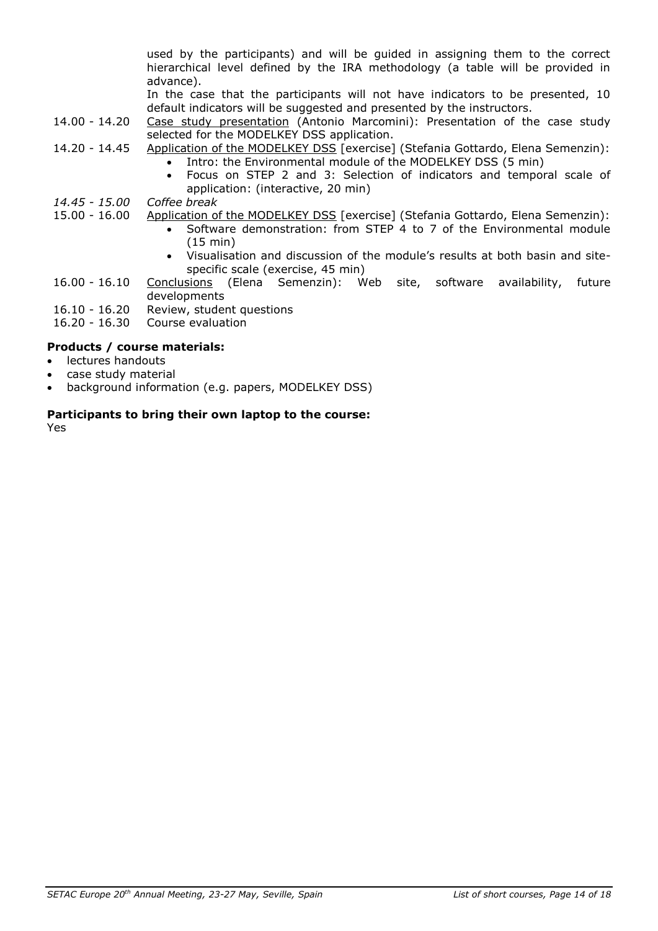used by the participants) and will be guided in assigning them to the correct hierarchical level defined by the IRA methodology (a table will be provided in advance).

In the case that the participants will not have indicators to be presented, 10 default indicators will be suggested and presented by the instructors.

- 14.00 14.20 Case study presentation (Antonio Marcomini): Presentation of the case study selected for the MODELKEY DSS application.
- 14.20 14.45 Application of the MODELKEY DSS [exercise] (Stefania Gottardo, Elena Semenzin):
	- Intro: the Environmental module of the MODELKEY DSS (5 min)
	- Focus on STEP 2 and 3: Selection of indicators and temporal scale of application: (interactive, 20 min)
- *14.45 - 15.00 Coffee break*
- 15.00 16.00 Application of the MODELKEY DSS [exercise] (Stefania Gottardo, Elena Semenzin):
	- Software demonstration: from STEP 4 to 7 of the Environmental module (15 min)
	- Visualisation and discussion of the module"s results at both basin and sitespecific scale (exercise, 45 min)
- 16.00 16.10 Conclusions (Elena Semenzin): Web site, software availability, future developments
- 16.10 16.20 Review, student questions
- 16.20 16.30 Course evaluation

# **Products / course materials:**

- lectures handouts
- case study material
- background information (e.g. papers, MODELKEY DSS)

# **Participants to bring their own laptop to the course:**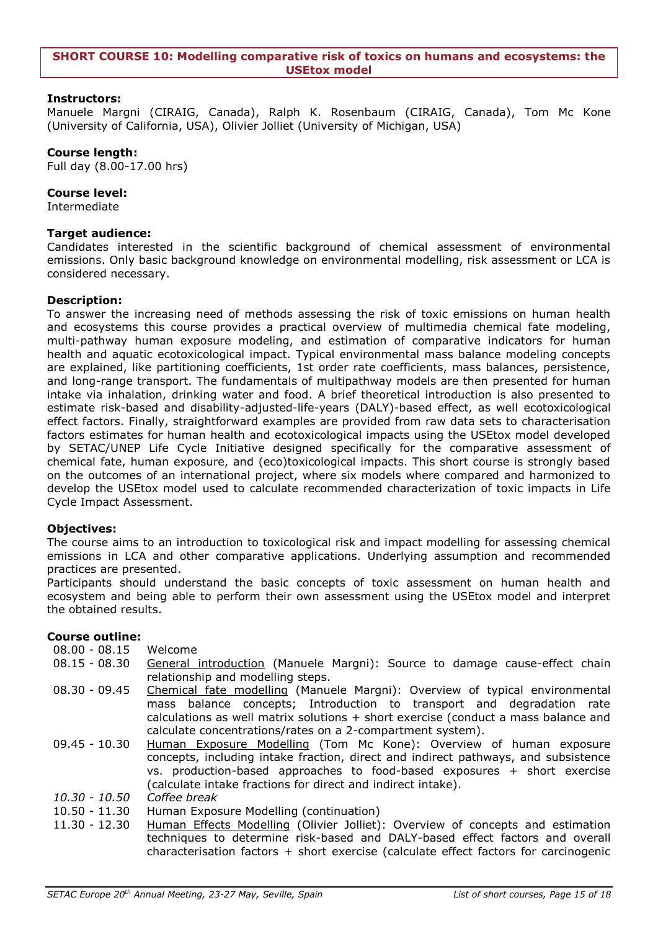#### <span id="page-14-0"></span>**SHORT COURSE 10: Modelling comparative risk of toxics on humans and ecosystems: the USEtox model**

# **Instructors:**

Manuele Margni (CIRAIG, Canada), Ralph K. Rosenbaum (CIRAIG, Canada), Tom Mc Kone (University of California, USA), Olivier Jolliet (University of Michigan, USA)

# **Course length:**

Full day (8.00-17.00 hrs)

# **Course level:**

Intermediate

# **Target audience:**

Candidates interested in the scientific background of chemical assessment of environmental emissions. Only basic background knowledge on environmental modelling, risk assessment or LCA is considered necessary.

# **Description:**

To answer the increasing need of methods assessing the risk of toxic emissions on human health and ecosystems this course provides a practical overview of multimedia chemical fate modeling, multi-pathway human exposure modeling, and estimation of comparative indicators for human health and aquatic ecotoxicological impact. Typical environmental mass balance modeling concepts are explained, like partitioning coefficients, 1st order rate coefficients, mass balances, persistence, and long-range transport. The fundamentals of multipathway models are then presented for human intake via inhalation, drinking water and food. A brief theoretical introduction is also presented to estimate risk-based and disability-adjusted-life-years (DALY)-based effect, as well ecotoxicological effect factors. Finally, straightforward examples are provided from raw data sets to characterisation factors estimates for human health and ecotoxicological impacts using the USEtox model developed by SETAC/UNEP Life Cycle Initiative designed specifically for the comparative assessment of chemical fate, human exposure, and (eco)toxicological impacts. This short course is strongly based on the outcomes of an international project, where six models where compared and harmonized to develop the USEtox model used to calculate recommended characterization of toxic impacts in Life Cycle Impact Assessment.

# **Objectives:**

The course aims to an introduction to toxicological risk and impact modelling for assessing chemical emissions in LCA and other comparative applications. Underlying assumption and recommended practices are presented.

Participants should understand the basic concepts of toxic assessment on human health and ecosystem and being able to perform their own assessment using the USEtox model and interpret the obtained results.

# **Course outline:**

08.00 - 08.15 Welcome

- 08.15 08.30 General introduction (Manuele Margni): Source to damage cause-effect chain relationship and modelling steps.
- 08.30 09.45 Chemical fate modelling (Manuele Margni): Overview of typical environmental mass balance concepts; Introduction to transport and degradation rate calculations as well matrix solutions + short exercise (conduct a mass balance and calculate concentrations/rates on a 2-compartment system).
- 09.45 10.30 Human Exposure Modelling (Tom Mc Kone): Overview of human exposure concepts, including intake fraction, direct and indirect pathways, and subsistence vs. production-based approaches to food-based exposures + short exercise (calculate intake fractions for direct and indirect intake).
- *10.30 - 10.50 Coffee break*
- 10.50 11.30 Human Exposure Modelling (continuation)
- 11.30 12.30 Human Effects Modelling (Olivier Jolliet): Overview of concepts and estimation techniques to determine risk-based and DALY-based effect factors and overall characterisation factors + short exercise (calculate effect factors for carcinogenic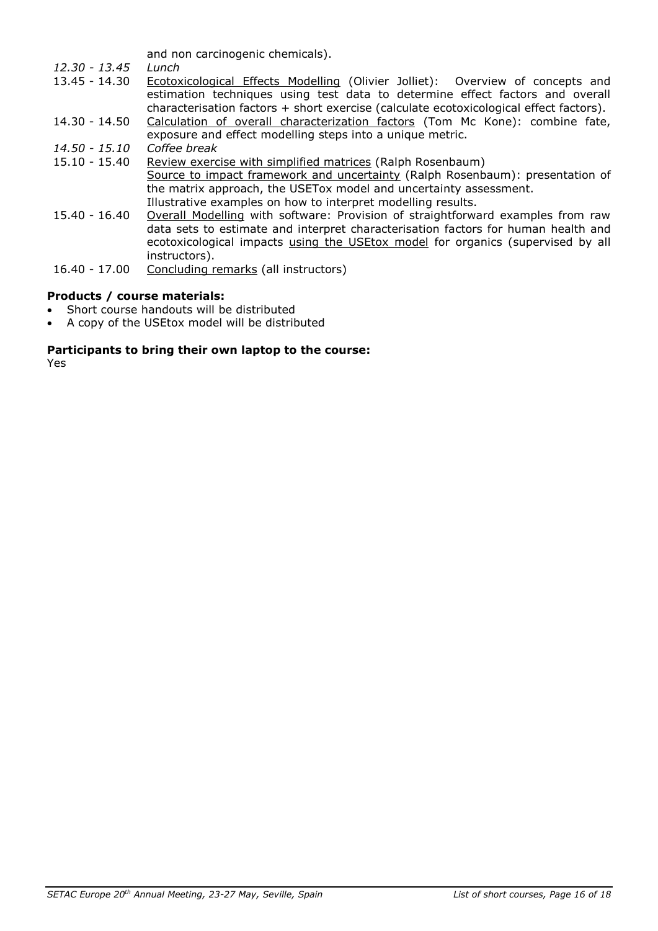and non carcinogenic chemicals).

- *12.30 - 13.45 Lunch*
- 13.45 14.30 Ecotoxicological Effects Modelling (Olivier Jolliet): Overview of concepts and estimation techniques using test data to determine effect factors and overall characterisation factors + short exercise (calculate ecotoxicological effect factors).
- 14.30 14.50 Calculation of overall characterization factors (Tom Mc Kone): combine fate, exposure and effect modelling steps into a unique metric.
- *14.50 - 15.10 Coffee break*
- 15.10 15.40 Review exercise with simplified matrices (Ralph Rosenbaum) Source to impact framework and uncertainty (Ralph Rosenbaum): presentation of the matrix approach, the USETox model and uncertainty assessment. Illustrative examples on how to interpret modelling results.
- 15.40 16.40 Overall Modelling with software: Provision of straightforward examples from raw data sets to estimate and interpret characterisation factors for human health and ecotoxicological impacts using the USEtox model for organics (supervised by all instructors).
- 16.40 17.00 Concluding remarks (all instructors)

# **Products / course materials:**

- Short course handouts will be distributed
- A copy of the USEtox model will be distributed

# **Participants to bring their own laptop to the course:**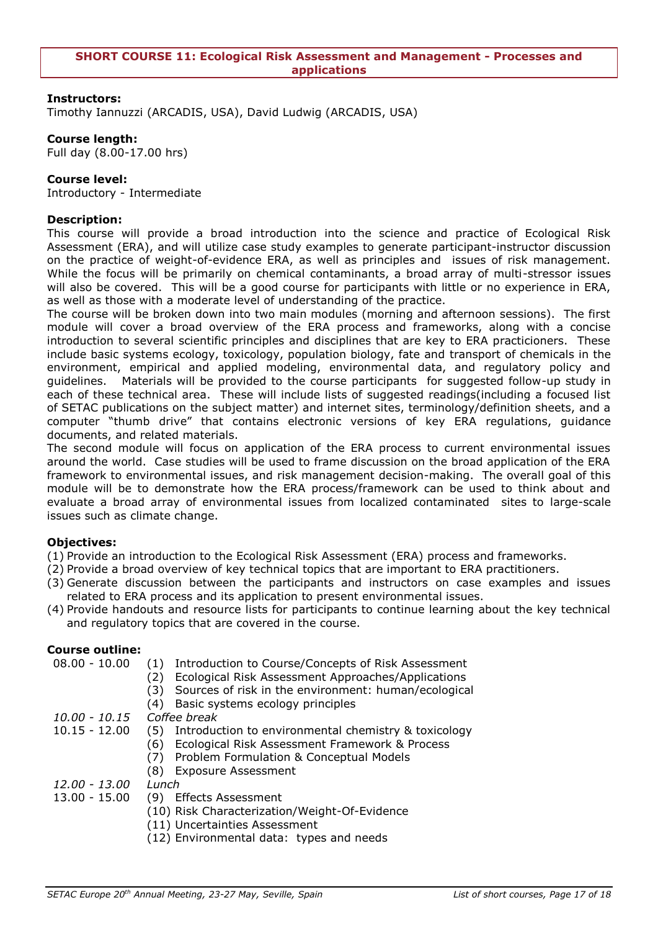<span id="page-16-0"></span>Timothy Iannuzzi (ARCADIS, USA), David Ludwig (ARCADIS, USA)

# **Course length:**

Full day (8.00-17.00 hrs)

# **Course level:**

Introductory - Intermediate

# **Description:**

This course will provide a broad introduction into the science and practice of Ecological Risk Assessment (ERA), and will utilize case study examples to generate participant-instructor discussion on the practice of weight-of-evidence ERA, as well as principles and issues of risk management. While the focus will be primarily on chemical contaminants, a broad array of multi-stressor issues will also be covered. This will be a good course for participants with little or no experience in ERA, as well as those with a moderate level of understanding of the practice.

The course will be broken down into two main modules (morning and afternoon sessions). The first module will cover a broad overview of the ERA process and frameworks, along with a concise introduction to several scientific principles and disciplines that are key to ERA practicioners. These include basic systems ecology, toxicology, population biology, fate and transport of chemicals in the environment, empirical and applied modeling, environmental data, and regulatory policy and guidelines. Materials will be provided to the course participants for suggested follow-up study in each of these technical area. These will include lists of suggested readings(including a focused list of SETAC publications on the subject matter) and internet sites, terminology/definition sheets, and a computer "thumb drive" that contains electronic versions of key ERA regulations, guidance documents, and related materials.

The second module will focus on application of the ERA process to current environmental issues around the world. Case studies will be used to frame discussion on the broad application of the ERA framework to environmental issues, and risk management decision-making. The overall goal of this module will be to demonstrate how the ERA process/framework can be used to think about and evaluate a broad array of environmental issues from localized contaminated sites to large-scale issues such as climate change.

# **Objectives:**

- (1) Provide an introduction to the Ecological Risk Assessment (ERA) process and frameworks.
- (2) Provide a broad overview of key technical topics that are important to ERA practitioners.
- (3) Generate discussion between the participants and instructors on case examples and issues related to ERA process and its application to present environmental issues.
- (4) Provide handouts and resource lists for participants to continue learning about the key technical and regulatory topics that are covered in the course.

# **Course outline:**

| $08.00 - 10.00$ | Introduction to Course/Concepts of Risk Assessment<br>(1)<br>Ecological Risk Assessment Approaches/Applications<br>(2)<br>Sources of risk in the environment: human/ecological<br>(3)<br>Basic systems ecology principles<br>(4) |
|-----------------|----------------------------------------------------------------------------------------------------------------------------------------------------------------------------------------------------------------------------------|
| 10.00 - 10.15   | Coffee break                                                                                                                                                                                                                     |
| $10.15 - 12.00$ | Introduction to environmental chemistry & toxicology<br>(5)                                                                                                                                                                      |
|                 | Ecological Risk Assessment Framework & Process<br>(6)                                                                                                                                                                            |
|                 | Problem Formulation & Conceptual Models<br>(7)                                                                                                                                                                                   |
|                 | <b>Exposure Assessment</b><br>(8)                                                                                                                                                                                                |
| 12.00 - 13.00   | Lunch                                                                                                                                                                                                                            |
| $13.00 - 15.00$ | <b>Effects Assessment</b><br>(9)                                                                                                                                                                                                 |
|                 | (10) Risk Characterization/Weight-Of-Evidence                                                                                                                                                                                    |
|                 | (11) Uncertainties Assessment                                                                                                                                                                                                    |
|                 | (12) Environmental data: types and needs                                                                                                                                                                                         |